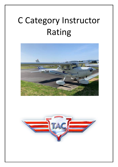# C Category Instructor Rating



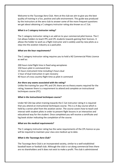Welcome to the Tauranga Aero Club. Here at the club we aim to give you the best quality of training in a fun, positive and safe environment. This guide was produced by the instructors at the aero club to answer some of the more frequent questions we get about obtaining a C category instructor rating also known as a C Cat.

#### *What is a C category instructor rating?*

The C category instructor rating is an add on to your commercial pilot licence. The C Cat allows holders to teach PPL and CPL students towards gaining their licences. It allows the holder to work as a flight instructor and is widely used by new pilots as a step into the aviation industry as a paid pilot.

## *What are the hour requirements?*

The C category instructor rating requires you to hold a NZ Commercial Pilots Licence as well as:

200 hours total flight time in fixed wing aeroplanes 150 hours pilot in command time 15 hours instrument time including 5 hours dual 1 hour of dual instruction in spin recovery 40 hours of cross country flight time as pilot in command

## *Are there any exams associated with the rating?*

Unlike the training for your PPL and CPL there are no theory exams required for the rating, however there is a requirement to attend and complete an instructional techniques course (ITC).

## *What is the Instructional techniques course?*

Under NZ CAA law when training towards the C Cat instructor rating it is required that you attend an instructional techniques course. This is a 4 day course which is held by a senior pilot from the aviation sector. The course covers how to teach and interact with student pilots in order to present flight lessons in an interactive and educational way for the student. Once completed you will receive a certificate and log book sticker indicating the completion of the course.

#### *What are the medical requirements?*

The C category instructor rating has the same requirements of the CPL licence so you will be required to maintain your class one medical up to date.

## *What is the Tauranga Aero Club?*

The Tauranga Aero Club is an incorporated society, similar to a well established baseball team or football club. Although the club is run along commercial lines there are no shareholders and it does not exist to make a profit. The club is administered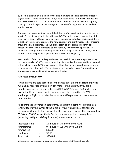by a committee which is elected by the club members. The club operates a fleet of eight aircraft – 5 two-seat Cessna 152s, 4 four-seat Cessna 172s which includes one with a G1000 kit out. The Club operates from a modern clubhouse with reception, training rooms, hangar and bar-lounge and has a staff of eight instructors and two administrators.

The aero club movement was established shortly after WWII. At the time its charter was to "promote aviation to the wider public". This still remains a foundation of the club charter today, although aviation is well established in today's society and there is probably less need to promote the new, exciting, and slightly crazy fad of charging around the sky in biplanes. The club exists today to give access to aircraft at a reasonable cost to club members, as a social club, a commercial operation, to provide a career pathway for young instructors aspiring to an airline career, and to introduce as many people as possible to the joy of learning to fly.

Membership of the club is deep and varied. Many club members are private pilots, but there are also 30,000+ hour topdressing pilots, active domestic and international airline pilots, retired 747 training captains, flying instructors, aircraft engineers, and all manner of aviation buffs. The bar is open on club nights every Friday and Sunday and you are welcome to come along and talk shop.

#### *How Much Does it Cost?*

Flying lessons are paid according to the amount of time the aircraft engine is running, as recorded by an air switch meter in the aircraft. If you are a member our current aircraft rate for a C152 is \$255/hr and \$48.50/hr for an instructor. If you choose not to become a member, then there is 20% surcharge on flight costs. Membership costs \$170 per year and we welcome new members.

As Tauranga is a controlled aerodrome, all aircraft landing here must pay a landing fee (for the owner of the airfield – your friendly local council) and airways fee (for air traffic control). For the two-seater trainer this works out to \$5.10 and \$10.50, respectively. So, for your average dual training flight (Including preflight, briefing & debrief) you can expect to pay:

| <b>Instructor Time</b> | $\sim$ 10 $\,$ | 1.5 hours @ \$48.50/hour = \$72.75 |
|------------------------|----------------|------------------------------------|
| Aircraft time          | $\sim$ $-$     | 0.7 hours @ \$255/hour = \$178.50  |
| Airways fee            | $\sim$         | \$10.50                            |
| Landing fee            | $\sim$         | \$5.10                             |
| Total cost             |                | \$266.85                           |

(At times, a small fuel surcharge may apply. Any cancellations made within 24 hours will incur a fee.)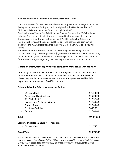## *New Zealand Level 6 Diploma in Aviation, Instructor Strand.*

If you are a career focused pilot and choose to complete your C-Category Instructor Rating and Instrument Rating you will be eligible for the New Zealand Level 6 Diploma in Aviation, Instructor Strand through ServiceIQ.

ServiceIQ is New Zealand's official Industry Training Organisation (ITO) involving aviation. They are able to identify and cross credit what we cover here at the Tauranga Aero Club through obtaining your PPL, CPL, Instructor Rating, and Instrument Rating. All the exams, qualifications, and licences you gain can be transferred to NZQA credits towards the Level 6 Diploma in Aviation, Instructor Strand.

For all the work that ServiceIQ does cross crediting and examining all your qualifications, they only charge around \$1,500.00 for the Level 6 Diploma in Aviation, Instructor Strand, which is well worth it. Funding may be available for this amount for those who are just beginning their journey. Contact us to find out more.

#### *Is there an employment opportunity on completion of the course with the club?*

Depending on performance of the instructor rating course and on the aero club's requirement for any new staff it may be possible to work or the club. However, please keep in mind an employment opportunity is not promised and is solely dependent on requirement of staff by the club.

#### **Estimated Cost for C Category Instructor Rating:**

| 25 Hours Dual:<br>$\bullet$                           | \$7,750.00  |
|-------------------------------------------------------|-------------|
| Airways and Landing Fees:<br>$\bullet$                | \$1,200.00  |
| <b>ASL Flight Test Fee</b><br>$\bullet$               | \$1,532.00  |
| <b>Instructional Techniques Course</b><br>$\bullet$   | \$1,104.00  |
| Ground Theory<br>$\bullet$                            | \$2,500.00  |
| <b>B-cat Spin Training</b><br>$\bullet$               | \$430.00    |
| Revision<br>$\bullet$                                 | \$2,500.00  |
| Total:                                                | \$17,016.00 |
| <b>Estimated Cost for 50 hours Pic:</b> (if required) |             |
| 50 Hours Solo:<br>$\bullet$                           | \$12,750    |
| <b>Grand Total:</b>                                   | \$29,766.00 |
|                                                       |             |

*This estimate is based on 25 hours dual instruction at the T.A.C member rate. Also remember that you will have to build your PIC to 150 hours, you may need less than 50 to do this. Flying is competency based, total cost may vary, all of the above prices are subject to change without notice and include GST.*